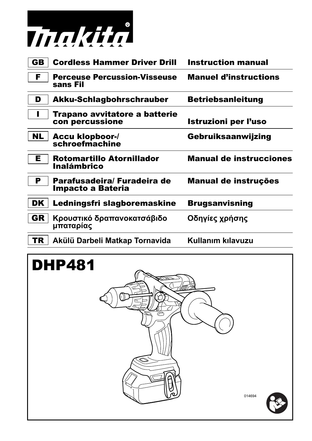

| <b>GB</b> | <b>Cordless Hammer Driver Drill</b>              | <b>Instruction manual</b>      |
|-----------|--------------------------------------------------|--------------------------------|
| F         | <b>Perceuse Percussion-Visseuse</b><br>sans Fil  | <b>Manuel d'instructions</b>   |
| D         | Akku-Schlagbohrschrauber                         | <b>Betriebsanleitung</b>       |
|           | Trapano avvitatore a batterie<br>con percussione | Istruzioni per l'uso           |
| <b>NL</b> | <b>Accu klopboor-/</b><br>schroefmachine         | Gebruiksaanwijzing             |
|           |                                                  |                                |
| Е         | Rotomartillo Atornillador<br>Inalámbrico         | <b>Manual de instrucciones</b> |
| P         | Parafusadeira/ Furadeira de<br>Impacto a Bateria | Manual de instruções           |
| <b>DK</b> | Ledningsfri slagboremaskine                      | <b>Brugsanvisning</b>          |
| <b>GR</b> | Κρουστικό δραπανοκατσάβιδο<br>μπαταρίας          | Οδηγίες χρήσης                 |

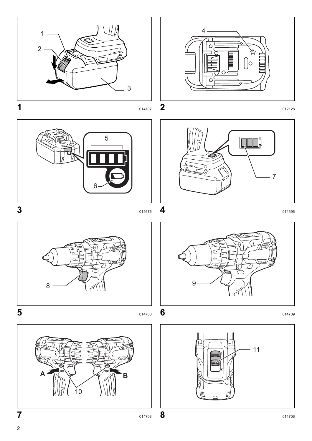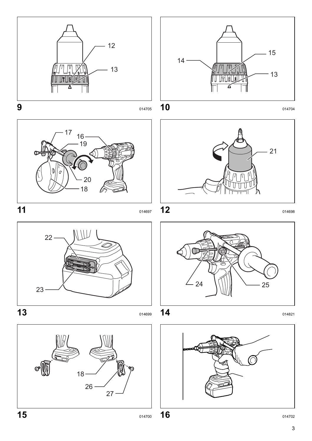





 













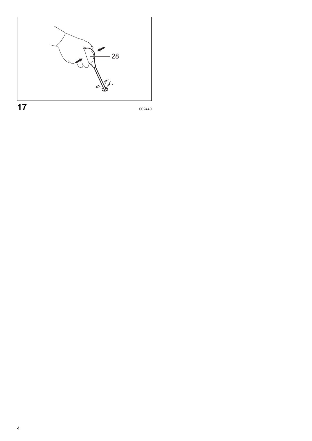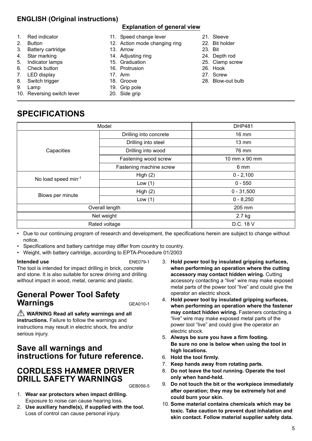### **ENGLISH (Original instructions)**

#### **Explanation of general view**

- 1. Red indicator 2. Button
- 3. Battery cartridge
- 4. Star marking
- 5. Indicator lamps
- 6. Check button
- 7. LED display
- 8. Switch trigger
- 9. Lamp
- 10. Reversing switch lever

**SPECIFICATIONS**

- 11. Speed change lever
- 12. Action mode changing ring
- 13. Arrow
- 14. Adjusting ring
- 15. Graduation
- 16. Protrusion
- 17. Arm
- 18. Groove 19. Grip pole
- 
- 20. Side grip
- 21. Sleeve
- 22. Bit holder
- 23. Bit
- 24. Depth rod
- 25. Clamp screw
- 26. Hook
- 27. Screw
- 28. Blow-out bulb

| Model               |                         | <b>DHP481</b>        |
|---------------------|-------------------------|----------------------|
|                     | Drilling into concrete  | $16 \text{ mm}$      |
|                     | Drilling into steel     | $13 \text{ mm}$      |
| Capacities          | Drilling into wood      | 76 mm                |
|                     | Fastening wood screw    | 10 mm $\times$ 90 mm |
|                     | Fastening machine screw | 6 mm                 |
|                     | High $(2)$              | $0 - 2,100$          |
| No load speed min-1 | Low $(1)$               | $0 - 550$            |
|                     | High $(2)$              | $0 - 31,500$         |
| Blows per minute    | Low $(1)$               | $0 - 8,250$          |
| Overall length      |                         | 205 mm               |
| Net weight          |                         | 2.7 kg               |
| Rated voltage       |                         | D.C. 18 V            |

Due to our continuing program of research and development, the specifications herein are subject to change without notice.

- Specifications and battery cartridge may differ from country to country.
- Weight, with battery cartridge, according to EPTA-Procedure 01/2003

#### **Intended use** ENE079-1

The tool is intended for impact drilling in brick, concrete and stone. It is also suitable for screw driving and drilling without impact in wood, metal, ceramic and plastic.

## **General Power Tool Safety Warnings** GEA010-1

 **WARNING Read all safety warnings and all instructions.** Failure to follow the warnings and instructions may result in electric shock, fire and/or serious injury.

## **Save all warnings and instructions for future reference.**

### **CORDLESS HAMMER DRIVER DRILL SAFETY WARNINGS**

GEB056-5

- 1. **Wear ear protectors when impact drilling.** Exposure to noise can cause hearing loss.
- 2. **Use auxiliary handle(s), if supplied with the tool.** Loss of control can cause personal injury.
- 3. **Hold power tool by insulated gripping surfaces, when performing an operation where the cutting accessory may contact hidden wiring.** Cutting accessory contacting a "live" wire may make exposed metal parts of the power tool "live" and could give the operator an electric shock.
- 4. **Hold power tool by insulated gripping surfaces, when performing an operation where the fastener may contact hidden wiring.** Fasteners contacting a "live" wire may make exposed metal parts of the power tool "live" and could give the operator an electric shock.
- 5. **Always be sure you have a firm footing. Be sure no one is below when using the tool in high locations.**
- 6. **Hold the tool firmly.**
- 7. **Keep hands away from rotating parts.**
- 8. **Do not leave the tool running. Operate the tool only when hand-held.**
- 9. **Do not touch the bit or the workpiece immediately after operation; they may be extremely hot and could burn your skin.**
- 10. **Some material contains chemicals which may be toxic. Take caution to prevent dust inhalation and skin contact. Follow material supplier safety data.**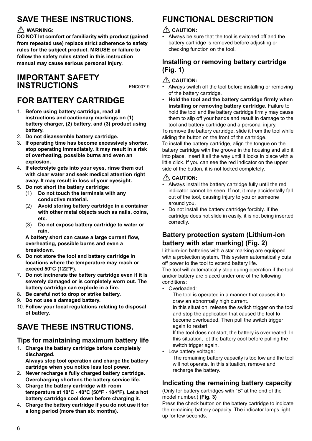# **SAVE THESE INSTRUCTIONS.**

### **WARNING:**

**DO NOT let comfort or familiarity with product (gained from repeated use) replace strict adherence to safety rules for the subject product. MISUSE or failure to follow the safety rules stated in this instruction manual may cause serious personal injury.**

## **IMPORTANT SAFETY INSTRUCTIONS**

# **FOR BATTERY CARTRIDGE**

- 1. **Before using battery cartridge, read all instructions and cautionary markings on (1) battery charger, (2) battery, and (3) product using battery.**
- 2. **Do not disassemble battery cartridge.**
- 3. **If operating time has become excessively shorter, stop operating immediately. It may result in a risk of overheating, possible burns and even an explosion.**
- 4. **If electrolyte gets into your eyes, rinse them out with clear water and seek medical attention right away. It may result in loss of your eyesight.**
- 5. **Do not short the battery cartridge:**
	- (1) **Do not touch the terminals with any conductive material.**
	- (2) **Avoid storing battery cartridge in a container with other metal objects such as nails, coins, etc.**
	- (3) **Do not expose battery cartridge to water or rain.**

**A battery short can cause a large current flow, overheating, possible burns and even a breakdown.**

- 6. **Do not store the tool and battery cartridge in locations where the temperature may reach or exceed 50°C (122°F).**
- 7. **Do not incinerate the battery cartridge even if it is severely damaged or is completely worn out. The battery cartridge can explode in a fire.**
- 8. **Be careful not to drop or strike battery.**
- 9. **Do not use a damaged battery.**
- 10. **Follow your local regulations relating to disposal of battery.**

## **SAVE THESE INSTRUCTIONS.**

### **Tips for maintaining maximum battery life**

1. **Charge the battery cartridge before completely discharged. Always stop tool operation and charge the battery** 

**cartridge when you notice less tool power.**

- 2. **Never recharge a fully charged battery cartridge. Overcharging shortens the battery service life.**
- 3. **Charge the battery cartridge with room temperature at 10°C - 40°C (50°F - 104°F). Let a hot battery cartridge cool down before charging it.**
- 4. **Charge the battery cartridge if you do not use it for a long period (more than six months).**

## **FUNCTIONAL DESCRIPTION**

### **CAUTION:**

• Always be sure that the tool is switched off and the battery cartridge is removed before adjusting or checking function on the tool.

### **Installing or removing battery cartridge (Fig. 1)**

### **CAUTION:**

- Always switch off the tool before installing or removing of the battery cartridge.
- Hold the tool and the battery cartridge firmly when **installing or removing battery cartridge.** Failure to hold the tool and the battery cartridge firmly may cause them to slip off your hands and result in damage to the tool and battery cartridge and a personal injury.

To remove the battery cartridge, slide it from the tool while sliding the button on the front of the cartridge.

To install the battery cartridge, align the tongue on the battery cartridge with the groove in the housing and slip it into place. Insert it all the way until it locks in place with a little click. If you can see the red indicator on the upper side of the button, it is not locked completely.

#### **CAUTION:**

- Always install the battery cartridge fully until the red indicator cannot be seen. If not, it may accidentally fall out of the tool, causing injury to you or someone around you.
- Do not install the battery cartridge forcibly. If the cartridge does not slide in easily, it is not being inserted correctly.

### **Battery protection system (Lithium-ion battery with star marking) (Fig. 2)**

Lithium-ion batteries with a star marking are equipped with a protection system. This system automatically cuts off power to the tool to extend battery life.

The tool will automatically stop during operation if the tool and/or battery are placed under one of the following conditions:

• Overloaded:

The tool is operated in a manner that causes it to draw an abnormally high current.

In this situation, release the switch trigger on the tool and stop the application that caused the tool to become overloaded. Then pull the switch trigger again to restart.

If the tool does not start, the battery is overheated. In this situation, let the battery cool before pulling the switch trigger again.

• Low battery voltage:

The remaining battery capacity is too low and the tool will not operate. In this situation, remove and recharge the battery.

### **Indicating the remaining battery capacity**

(Only for battery cartridges with "B" at the end of the model number.) **(Fig. 3)**

Press the check button on the battery cartridge to indicate the remaining battery capacity. The indicator lamps light up for few seconds.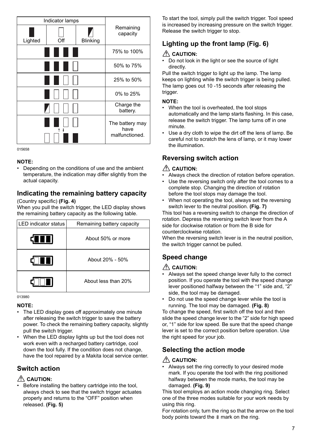| Indicator lamps |     |                 |                                           |
|-----------------|-----|-----------------|-------------------------------------------|
| Lighted         | Off | <b>Blinking</b> | Remaining<br>capacity                     |
|                 |     |                 | 75% to 100%                               |
|                 |     |                 | 50% to 75%                                |
|                 |     |                 | 25% to 50%                                |
|                 |     |                 | 0% to 25%                                 |
|                 |     |                 | Charge the<br>battery.                    |
|                 |     |                 | The battery may<br>have<br>malfunctioned. |

#### 015658

#### **NOTE:**

• Depending on the conditions of use and the ambient temperature, the indication may differ slightly from the actual capacity.

# **Indicating the remaining battery capacity**

(Country specific) **(Fig. 4)**

When you pull the switch trigger, the LED display shows the remaining battery capacity as the following table.

| LED indicator status | Remaining battery capacity |
|----------------------|----------------------------|
| <b>GEBEI</b>         | About 50% or more          |
| T I                  | About 20% - 50%            |
|                      | About less than 20%        |

013980

#### **NOTE:**

- The LED display goes off approximately one minute after releasing the switch trigger to save the battery power. To check the remaining battery capacity, slightly pull the switch trigger.
- When the LED display lights up but the tool does not work even with a recharged battery cartridge, cool down the tool fully. If the condition does not change, have the tool repaired by a Makita local service center.

### **Switch action**

#### **CAUTION:**

Before installing the battery cartridge into the tool, always check to see that the switch trigger actuates properly and returns to the "OFF" position when released. **(Fig. 5)**

To start the tool, simply pull the switch trigger. Tool speed is increased by increasing pressure on the switch trigger. Release the switch trigger to stop.

### **Lighting up the front lamp (Fig. 6)**

#### **CAUTION:**

• Do not look in the light or see the source of light directly.

Pull the switch trigger to light up the lamp. The lamp keeps on lighting while the switch trigger is being pulled. The lamp goes out 10 -15 seconds after releasing the trigger.

#### **NOTE:**

- When the tool is overheated, the tool stops automatically and the lamp starts flashing. In this case, release the switch trigger. The lamp turns off in one minute.
- Use a dry cloth to wipe the dirt off the lens of lamp. Be careful not to scratch the lens of lamp, or it may lower the illumination.

### **Reversing switch action**

#### **CAUTION:**

- Always check the direction of rotation before operation.
- Use the reversing switch only after the tool comes to a complete stop. Changing the direction of rotation before the tool stops may damage the tool.
- When not operating the tool, always set the reversing switch lever to the neutral position. **(Fig. 7)**

This tool has a reversing switch to change the direction of rotation. Depress the reversing switch lever from the A side for clockwise rotation or from the B side for counterclockwise rotation.

When the reversing switch lever is in the neutral position. the switch trigger cannot be pulled.

### **Speed change**

#### **CAUTION:**

- Always set the speed change lever fully to the correct position. If you operate the tool with the speed change lever positioned halfway between the "1" side and, "2" side, the tool may be damaged.
- Do not use the speed change lever while the tool is running. The tool may be damaged. **(Fig. 8)**

To change the speed, first switch off the tool and then slide the speed change lever to the "2" side for high speed or, "1" side for low speed. Be sure that the speed change lever is set to the correct position before operation. Use the right speed for your job.

### **Selecting the action mode**

#### **CAUTION:**

• Always set the ring correctly to your desired mode mark. If you operate the tool with the ring positioned halfway between the mode marks, the tool may be damaged. **(Fig. 9)**

This tool employs an action mode changing ring. Select one of the three modes suitable for your work needs by using this ring.

For rotation only, turn the ring so that the arrow on the tool body points toward the  $\frac{1}{2}$  mark on the ring.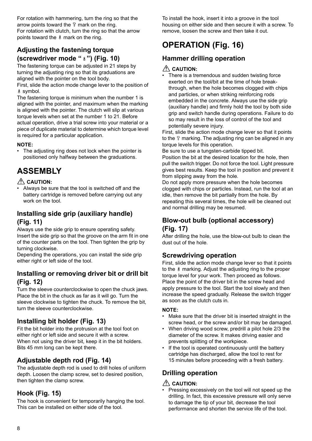For rotation with hammering, turn the ring so that the arrow points toward the  $\overline{r}$  mark on the ring. For rotation with clutch, turn the ring so that the arrow points toward the  $\ell$  mark on the ring.

### **Adjusting the fastening torque (screwdriver mode "**  $\epsilon$ **") (Fig. 10)**

The fastening torque can be adjusted in 21 steps by turning the adjusting ring so that its graduations are aligned with the pointer on the tool body.

First, slide the action mode change lever to the position of symbol.

The fastening torque is minimum when the number 1 is aligned with the pointer, and maximum when the marking is aligned with the pointer. The clutch will slip at various torque levels when set at the number 1 to 21. Before actual operation, drive a trial screw into your material or a piece of duplicate material to determine which torque level is required for a particular application.

#### **NOTE:**

• The adjusting ring does not lock when the pointer is positioned only halfway between the graduations.

# **ASSEMBLY**

#### **CAUTION:**

Always be sure that the tool is switched off and the battery cartridge is removed before carrying out any work on the tool.

### **Installing side grip (auxiliary handle) (Fig. 11)**

Always use the side grip to ensure operating safety. Insert the side grip so that the groove on the arm fit in one of the counter parts on the tool. Then tighten the grip by turning clockwise.

Depending the operations, you can install the side grip either right or left side of the tool.

### **Installing or removing driver bit or drill bit (Fig. 12)**

Turn the sleeve counterclockwise to open the chuck jaws. Place the bit in the chuck as far as it will go. Turn the sleeve clockwise to tighten the chuck. To remove the bit, turn the sleeve counterclockwise.

### **Installing bit holder (Fig. 13)**

Fit the bit holder into the protrusion at the tool foot on either right or left side and secure it with a screw. When not using the driver bit, keep it in the bit holders. Bits 45 mm long can be kept there.

### **Adjustable depth rod (Fig. 14)**

The adjustable depth rod is used to drill holes of uniform depth. Loosen the clamp screw, set to desired position, then tighten the clamp screw.

### **Hook (Fig. 15)**

The hook is convenient for temporarily hanging the tool. This can be installed on either side of the tool.

To install the hook, insert it into a groove in the tool housing on either side and then secure it with a screw. To remove, loosen the screw and then take it out.

# **OPERATION (Fig. 16)**

### **Hammer drilling operation**

### **CAUTION:**

There is a tremendous and sudden twisting force exerted on the tool/bit at the time of hole breakthrough, when the hole becomes clogged with chips and particles, or when striking reinforcing rods embedded in the concrete. Always use the side grip (auxiliary handle) and firmly hold the tool by both side grip and switch handle during operations. Failure to do so may result in the loss of control of the tool and potentially severe injury.

First, slide the action mode change lever so that it points to the  $\mathbb T$  marking. The adjusting ring can be aligned in any torque levels for this operation.

Be sure to use a tungsten-carbide tipped bit. Position the bit at the desired location for the hole, then pull the switch trigger. Do not force the tool. Light pressure gives best results. Keep the tool in position and prevent it from slipping away from the hole.

Do not apply more pressure when the hole becomes clogged with chips or particles. Instead, run the tool at an idle, then remove the bit partially from the hole. By repeating this several times, the hole will be cleaned out and normal drilling may be resumed.

#### **Blow-out bulb (optional accessory) (Fig. 17)**

#### After drilling the hole, use the blow-out bulb to clean the dust out of the hole.

### **Screwdriving operation**

First, slide the action mode change lever so that it points to the  $\&$  marking. Adjust the adjusting ring to the proper torque level for your work. Then proceed as follows. Place the point of the driver bit in the screw head and apply pressure to the tool. Start the tool slowly and then increase the speed gradually. Release the switch trigger as soon as the clutch cuts in.

#### **NOTE:**

- Make sure that the driver bit is inserted straight in the screw head, or the screw and/or bit may be damaged.
- When driving wood screw, predrill a pilot hole 2/3 the diameter of the screw. It makes driving easier and prevents splitting of the workpiece.
- If the tool is operated continuously until the battery cartridge has discharged, allow the tool to rest for 15 minutes before proceeding with a fresh battery.

### **Drilling operation**

#### **CAUTION:**

• Pressing excessively on the tool will not speed up the drilling. In fact, this excessive pressure will only serve to damage the tip of your bit, decrease the tool performance and shorten the service life of the tool.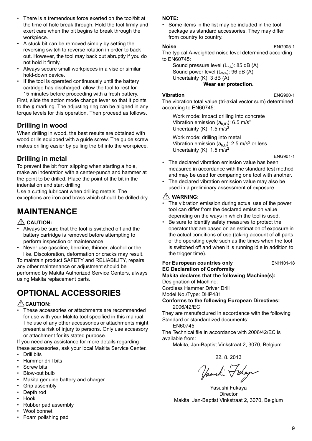- There is a tremendous force exerted on the tool/bit at the time of hole break through. Hold the tool firmly and exert care when the bit begins to break through the workpiece.
- A stuck bit can be removed simply by setting the reversing switch to reverse rotation in order to back out. However, the tool may back out abruptly if you do not hold it firmly.
- Always secure small workpieces in a vise or similar hold-down device.
- If the tool is operated continuously until the battery cartridge has discharged, allow the tool to rest for 15 minutes before proceeding with a fresh battery.

First, slide the action mode change lever so that it points to the  $\hat{a}$  marking. The adjusting ring can be aligned in any torque levels for this operation. Then proceed as follows.

### **Drilling in wood**

When drilling in wood, the best results are obtained with wood drills equipped with a guide screw. The guide screw makes drilling easier by pulling the bit into the workpiece.

### **Drilling in metal**

To prevent the bit from slipping when starting a hole, make an indentation with a center-punch and hammer at the point to be drilled. Place the point of the bit in the indentation and start drilling.

Use a cutting lubricant when drilling metals. The exceptions are iron and brass which should be drilled dry.

# **MAINTENANCE**

#### **CAUTION:**

- Always be sure that the tool is switched off and the battery cartridge is removed before attempting to perform inspection or maintenance.
- Never use gasoline, benzine, thinner, alcohol or the like. Discoloration, deformation or cracks may result.

To maintain product SAFETY and RELIABILITY, repairs, any other maintenance or adjustment should be performed by Makita Authorized Service Centers, always using Makita replacement parts.

# **OPTIONAL ACCESSORIES**

#### **CAUTION:**

These accessories or attachments are recommended for use with your Makita tool specified in this manual. The use of any other accessories or attachments might present a risk of injury to persons. Only use accessory or attachment for its stated purpose.

If you need any assistance for more details regarding these accessories, ask your local Makita Service Center.

- Drill bits
- Hammer drill bits
- Screw bits
- Blow-out bulb
- Makita genuine battery and charger
- Grip assembly
- Depth rod
- **Hook**
- Rubber pad assembly
- Wool bonnet
- Foam polishing pad

#### from country to country. **Noise** ENG905-1

• Some items in the list may be included in the tool package as standard accessories. They may differ

The typical A-weighted noise level determined according to EN60745:

Sound pressure level  $(L_{pA})$ : 85 dB (A) Sound power level  $(L_{WA})$ : 96 dB  $(A)$ Uncertainty (K): 3 dB (A) **Wear ear protection.**

#### **Vibration** ENG900-1

**NOTE:**

The vibration total value (tri-axial vector sum) determined according to EN60745:

Work mode: impact drilling into concrete Vibration emission  $(a<sub>h</sub>)$ : 6.5 m/s<sup>2</sup> Uncertainty (K): 1.5 m/s<sup>2</sup>

Work mode: drilling into metal Vibration emission ( $a<sub>h,D</sub>$ ): 2.5 m/s<sup>2</sup> or less Uncertainty (K): 1.5 m/s<sup>2</sup>

ENG901-1

- The declared vibration emission value has been measured in accordance with the standard test method and may be used for comparing one tool with another.
- The declared vibration emission value may also be used in a preliminary assessment of exposure.

#### **WARNING:**

- The vibration emission during actual use of the power tool can differ from the declared emission value depending on the ways in which the tool is used.
- Be sure to identify safety measures to protect the operator that are based on an estimation of exposure in the actual conditions of use (taking account of all parts of the operating cycle such as the times when the tool is switched off and when it is running idle in addition to the trigger time).

#### **For European countries only ENH101-18 EC Declaration of Conformity Makita declares that the following Machine(s):** Designation of Machine: Cordless Hammer Driver Drill

Model No./Type: DHP481

**Conforms to the following European Directives:** 2006/42/EC

They are manufactured in accordance with the following Standard or standardized documents:

EN60745

The Technical file in accordance with 2006/42/EC is available from:

Makita, Jan-Baptist Vinkstraat 2, 3070, Belgium

22. 8. 2013

Yasushi Fukaya

Yasushi Fukaya Director Makita, Jan-Baptist Vinkstraat 2, 3070, Belgium

9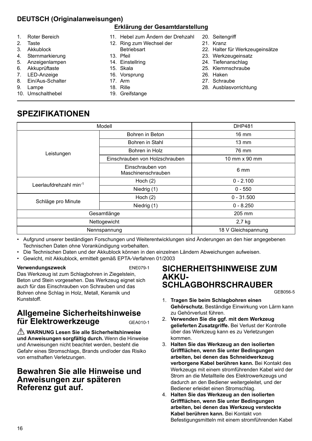### **DEUTSCH (Originalanweisungen)**

#### **Erklärung der Gesamtdarstellung**

- 1. Roter Bereich
- 2. Taste
- 3. Akkublock
- 4. Sternmarkierung
- 5. Anzeigenlampen
- 6. Akkuprüftaste
- 7. LED-Anzeige
- 8. Ein/Aus-Schalter
- 9. Lampe
- 10. Umschalthebel

#### 11. Hebel zum Ändern der Drehzahl

- 12. Ring zum Wechsel der
- **Betriebsart**
- 13. Pfeil
- 14. Einstellring
- 15. Skala
- 16. Vorsprung 17. Arm
- 18. Rille
- 19. Greifstange
- 20. Seitengriff
- 21. Kranz
- 22. Halter für Werkzeugeinsätze
- 23. Werkzeugeinsatz
- 24. Tiefenanschlag
- 25. Klemmschraube
- 26. Haken
- 27. Schraube
- 28. Ausblasvorrichtung

## **SPEZIFIKATIONEN**

| Modell                 | <b>DHP481</b>                          |                     |
|------------------------|----------------------------------------|---------------------|
|                        | Bohren in Beton                        | $16 \text{ mm}$     |
|                        | Bohren in Stahl                        | $13 \text{ mm}$     |
| Leistungen             | Bohren in Holz                         | 76 mm               |
|                        | Einschrauben von Holzschrauben         | 10 mm x 90 mm       |
|                        | Einschrauben von<br>Maschinenschrauben | 6 mm                |
| Leerlaufdrehzahl min-1 | Hoch $(2)$                             | $0 - 2.100$         |
|                        | Niedrig (1)                            | $0 - 550$           |
| Schläge pro Minute     | Hoch $(2)$                             | $0 - 31.500$        |
|                        | Niedrig (1)                            | $0 - 8.250$         |
| Gesamtlänge            | 205 mm                                 |                     |
| Nettogewicht           | 2,7 kg                                 |                     |
| Nennspannung           |                                        | 18 V Gleichspannung |

• Aufgrund unserer beständigen Forschungen und Weiterentwicklungen sind Änderungen an den hier angegebenen Technischen Daten ohne Vorankündigung vorbehalten.

Die Technischen Daten und der Akkublock können in den einzelnen Ländern Abweichungen aufweisen.

ï Gewicht, mit Akkublock, ermittelt gemäß EPTA-Verfahren 01/2003

#### **Verwendungszweck** ENE079-1

Das Werkzeug ist zum Schlagbohren in Ziegelstein, Beton und Stein vorgesehen. Das Werkzeug eignet sich auch für das Einschrauben von Schrauben und das Bohren ohne Schlag in Holz, Metall, Keramik und Kunststoff.

## **Allgemeine Sicherheitshinweise für Elektrowerkzeuge** GEA010-1

 **WARNUNG Lesen Sie alle Sicherheitshinweise und Anweisungen sorgfältig durch.** Wenn die Hinweise und Anweisungen nicht beachtet werden, besteht die Gefahr eines Stromschlags, Brands und/oder das Risiko von ernsthaften Verletzungen.

### **Bewahren Sie alle Hinweise und Anweisungen zur späteren Referenz gut auf.**

### **SICHERHEITSHINWEISE ZUM AKKU-SCHLAGBOHRSCHRAUBER**

GEB056-5

- 1. **Tragen Sie beim Schlagbohren einen Gehörschutz.** Beständige Einwirkung von Lärm kann zu Gehörverlust führen.
- 2. **Verwenden Sie die ggf. mit dem Werkzeug gelieferten Zusatzgriffe.** Bei Verlust der Kontrolle über das Werkzeug kann es zu Verletzungen kommen.
- 3. **Halten Sie das Werkzeug an den isolierten Griffflächen, wenn Sie unter Bedingungen arbeiten, bei denen das Schneidwerkzeug verborgene Kabel berühren kann.** Bei Kontakt des Werkzeugs mit einem stromführenden Kabel wird der Strom an die Metallteile des Elektrowerkzeugs und dadurch an den Bediener weitergeleitet, und der Bediener erleidet einen Stromschlag.
- 4. **Halten Sie das Werkzeug an den isolierten Griffflächen, wenn Sie unter Bedingungen arbeiten, bei denen das Werkzeug versteckte Kabel berühren kann.** Bei Kontakt von Befestigungsmitteln mit einem stromführenden Kabel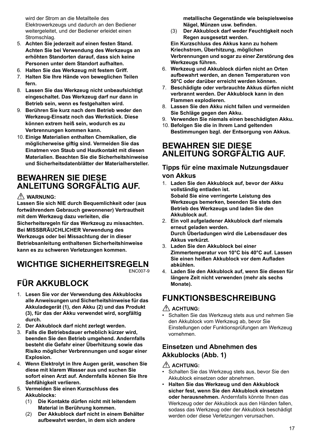wird der Strom an die Metallteile des Elektrowerkzeugs und dadurch an den Bediener weitergeleitet, und der Bediener erleidet einen Stromschlag.

- 5. **Achten Sie jederzeit auf einen festen Stand. Achten Sie bei Verwendung des Werkzeugs an erhöhten Standorten darauf, dass sich keine Personen unter dem Standort aufhalten.**
- 6. **Halten Sie das Werkzeug mit festem Griff.**
- 7. **Halten Sie Ihre Hände von beweglichen Teilen fern.**
- 8. **Lassen Sie das Werkzeug nicht unbeaufsichtigt eingeschaltet. Das Werkzeug darf nur dann in Betrieb sein, wenn es festgehalten wird.**
- 9. **Berühren Sie kurz nach dem Betrieb weder den Werkzeug-Einsatz noch das Werkstück. Diese können extrem heiß sein, wodurch es zu Verbrennungen kommen kann.**
- 10. **Einige Materialien enthalten Chemikalien, die möglicherweise giftig sind. Vermeiden Sie das Einatmen von Staub und Hautkontakt mit diesen Materialien. Beachten Sie die Sicherheitshinweise und Sicherheitsdatenblätter der Materialhersteller.**

## **BEWAHREN SIE DIESE ANLEITUNG SORGFÄLTIG AUF.**

#### **WARNUNG:**

**Lassen Sie sich NIE durch Bequemlichkeit oder (aus fortwährendem Gebrauch gewonnener) Vertrautheit mit dem Werkzeug dazu verleiten, die Sicherheitsregeln für das Werkzeug zu missachten. Bei MISSBRÄUCHLICHER Verwendung des Werkzeugs oder bei Missachtung der in dieser** 

**Betriebsanleitung enthaltenen Sicherheitshinweise kann es zu schweren Verletzungen kommen.**

# **WICHTIGE SICHERHEITSREGELN**

ENC007-9

# **FÜR AKKUBLOCK**

- 1. **Lesen Sie vor der Verwendung des Akkublocks alle Anweisungen und Sicherheitshinweise für das Akkuladegerät (1), den Akku (2) und das Produkt (3), für das der Akku verwendet wird, sorgfältig durch.**
- 2. **Der Akkublock darf nicht zerlegt werden.**
- 3. **Falls die Betriebsdauer erheblich kürzer wird, beenden Sie den Betrieb umgehend. Andernfalls besteht die Gefahr einer Überhitzung sowie das Risiko möglicher Verbrennungen und sogar einer Explosion.**
- 4. **Wenn Elektrolyt in Ihre Augen gerät, waschen Sie diese mit klarem Wasser aus und suchen Sie sofort einen Arzt auf. Andernfalls können Sie Ihre Sehfähigkeit verlieren.**
- 5. **Vermeiden Sie einen Kurzschluss des Akkublocks:**
	- (1) **Die Kontakte dürfen nicht mit leitendem Material in Berührung kommen.**
	- (2) **Der Akkublock darf nicht in einem Behälter aufbewahrt werden, in dem sich andere**

**metallische Gegenstände wie beispielsweise Nägel, Münzen usw. befinden.**

(3) **Der Akkublock darf weder Feuchtigkeit noch Regen ausgesetzt werden.**

**Ein Kurzschluss des Akkus kann zu hohem Kriechstrom, Überhitzung, möglichen Verbrennungen und sogar zu einer Zerstörung des Werkzeugs führen.**

- 6. **Werkzeug und Akkublock dürfen nicht an Orten aufbewahrt werden, an denen Temperaturen von 50°C oder darüber erreicht werden können.**
- 7. **Beschädigte oder verbrauchte Akkus dürfen nicht verbrannt werden. Der Akkublock kann in den Flammen explodieren.**
- 8. **Lassen Sie den Akku nicht fallen und vermeiden Sie Schläge gegen den Akku.**
- 9. **Verwenden Sie niemals einen beschädigten Akku.**
- 10. **Befolgen Sie die in Ihrem Land geltenden Bestimmungen bzgl. der Entsorgung von Akkus.**

## **BEWAHREN SIE DIESE ANLEITUNG SORGFÄLTIG AUF.**

### **Tipps für eine maximale Nutzungsdauer von Akkus**

- 1. **Laden Sie den Akkublock auf, bevor der Akku vollständig entladen ist. Sobald Sie eine verringerte Leistung des Werkzeugs bemerken, beenden Sie stets den Betrieb des Werkzeugs und laden Sie den Akkublock auf.**
- 2. **Ein voll aufgeladener Akkublock darf niemals erneut geladen werden. Durch Überladungen wird die Lebensdauer des Akkus verkürzt.**
- 3. **Laden Sie den Akkublock bei einer Zimmertemperatur von 10°C bis 40°C auf. Lassen Sie einen heißen Akkublock vor dem Aufladen abkühlen.**
- 4. **Laden Sie den Akkublock auf, wenn Sie diesen für längere Zeit nicht verwenden (mehr als sechs Monate).**

# **FUNKTIONSBESCHREIBUNG**

#### **ACHTUNG:**

Schalten Sie das Werkzeug stets aus und nehmen Sie den Akkublock vom Werkzeug ab, bevor Sie Einstellungen oder Funktionsprüfungen am Werkzeug vornehmen.

### **Einsetzen und Abnehmen des Akkublocks (Abb. 1)**

### ACHTUNG:

- Schalten Sie das Werkzeug stets aus, bevor Sie den Akkublock einsetzen oder abnehmen.
- ï **Halten Sie das Werkzeug und den Akkublock sicher fest, wenn Sie den Akkublock einsetzen oder herausnehmen.** Andernfalls könnte Ihnen das Werkzeug oder der Akkublock aus den Händen fallen, sodass das Werkzeug oder der Akkublock beschädigt werden oder diese Verletzungen verursachen.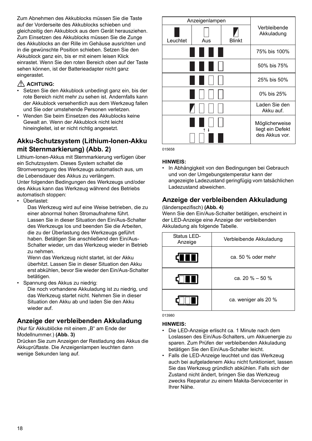Zum Abnehmen des Akkublocks müssen Sie die Taste auf der Vorderseite des Akkublocks schieben und gleichzeitig den Akkublock aus dem Gerät herausziehen. Zum Einsetzen des Akkublocks müssen Sie die Zunge des Akkublocks an der Rille im Gehäuse ausrichten und in die gewünschte Position schieben. Setzen Sie den Akkublock ganz ein, bis er mit einem leisen Klick einrastet. Wenn Sie den roten Bereich oben auf der Taste sehen können, ist der Batterieadapter nicht ganz eingerastet.

#### **ACHTUNG:**

- Setzen Sie den Akkublock unbedingt ganz ein, bis der rote Bereich nicht mehr zu sehen ist. Andernfalls kann der Akkublock versehentlich aus dem Werkzeug fallen und Sie oder umstehende Personen verletzen.
- Wenden Sie beim Einsetzen des Akkublocks keine Gewalt an. Wenn der Akkublock nicht leicht hineingleitet, ist er nicht richtig angesetzt.

### **Akku-Schutzsystem (Lithium-Ionen-Akku mit Sternmarkierung) (Abb. 2)**

Lithium-Ionen-Akkus mit Sternmarkierung verfügen über ein Schutzsystem. Dieses System schaltet die Stromversorgung des Werkzeugs automatisch aus, um die Lebensdauer des Akkus zu verlängern. Unter folgenden Bedingungen des Werkzeugs und/oder

des Akkus kann das Werkzeug während des Betriebs automatisch stoppen:

• Überlastet:

Das Werkzeug wird auf eine Weise betrieben, die zu einer abnormal hohen Stromaufnahme führt. Lassen Sie in dieser Situation den Ein/Aus-Schalter des Werkzeugs los und beenden Sie die Arbeiten, die zu der Überlastung des Werkzeugs geführt haben. Betätigen Sie anschließend den Ein/Aus-Schalter wieder, um das Werkzeug wieder in Betrieb zu nehmen.

Wenn das Werkzeug nicht startet, ist der Akku überhitzt. Lassen Sie in dieser Situation den Akku erst abkühlen, bevor Sie wieder den Ein/Aus-Schalter betätigen.

- Spannung des Akkus zu niedrig:
	- Die noch vorhandene Akkuladung ist zu niedrig, und das Werkzeug startet nicht. Nehmen Sie in dieser Situation den Akku ab und laden Sie den Akku wieder auf.

### **Anzeige der verbleibenden Akkuladung**

(Nur für Akkublöcke mit einem "B" am Ende der Modellnummer.) **(Abb. 3)**

Drücken Sie zum Anzeigen der Restladung des Akkus die Akkuprüftaste. Die Anzeigenlampen leuchten dann wenige Sekunden lang auf.



015658

#### **HINWEIS:**

• In Abhängigkeit von den Bedingungen bei Gebrauch und von der Umgebungstemperatur kann der angezeigte Ladezustand geringfügig vom tatsächlichen Ladezustand abweichen.

### **Anzeige der verbleibenden Akkuladung**

#### (länderspezifisch) **(Abb. 4)**

Wenn Sie den Ein/Aus-Schalter betätigen, erscheint in der LED-Anzeige eine Anzeige der verbleibenden Akkuladung als folgende Tabelle.

| Status LED-<br>Anzeige | Verbleibende Akkuladung |
|------------------------|-------------------------|
|                        | ca. 50 % oder mehr      |
| Η                      | ca. 20 % - 50 %         |
|                        | ca. weniger als 20 %    |
| 013980                 |                         |

#### **HINWEIS:**

- Die LED-Anzeige erlischt ca. 1 Minute nach dem Loslassen des Ein/Aus-Schalters, um Akkuenergie zu sparen. Zum Prüfen der verbleibenden Akkuladung betätigen Sie den Ein/Aus-Schalter leicht.
- Falls die LED-Anzeige leuchtet und das Werkzeug auch bei aufgeladenem Akku nicht funktioniert, lassen Sie das Werkzeug gründlich abkühlen. Falls sich der Zustand nicht ändert, bringen Sie das Werkzeug zwecks Reparatur zu einem Makita-Servicecenter in Ihrer Nähe.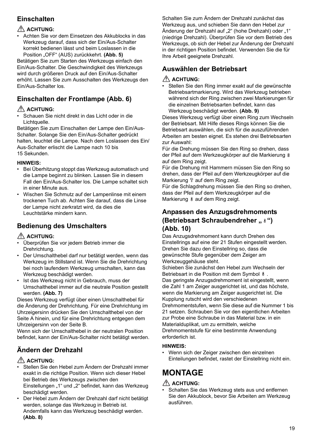## **Einschalten**

### $\triangle$  ACHTUNG:

ï Achten Sie vor dem Einsetzen des Akkublocks in das Werkzeug darauf, dass sich der Ein/Aus-Schalter korrekt bedienen lässt und beim Loslassen in die Position "OFF" (AUS) zurückkehrt. **(Abb. 5)**

Betätigen Sie zum Starten des Werkzeugs einfach den Ein/Aus-Schalter. Die Geschwindigkeit des Werkzeugs wird durch größeren Druck auf den Ein/Aus-Schalter erhöht. Lassen Sie zum Ausschalten des Werkzeugs den Ein/Aus-Schalter los.

### **Einschalten der Frontlampe (Abb. 6)**

#### **ACHTUNG:**

Schauen Sie nicht direkt in das Licht oder in die Lichtquelle.

Betätigen Sie zum Einschalten der Lampe den Ein/Aus-Schalter. Solange Sie den Ein/Aus-Schalter gedrückt halten, leuchtet die Lampe. Nach dem Loslassen des Ein/ Aus-Schalter erlischt die Lampe nach 10 bis 15 Sekunden.

#### **HINWEIS:**

- Bei Überhitzung stoppt das Werkzeug automatisch und die Lampe beginnt zu blinken. Lassen Sie in diesem Fall den Ein/Aus-Schalter los. Die Lampe schaltet sich in einer Minute aus.
- Wischen Sie Schmutz auf der Lampenlinse mit einem trockenen Tuch ab. Achten Sie darauf, dass die Linse der Lampe nicht zerkratzt wird, da dies die Leuchtstärke mindern kann.

### **Bedienung des Umschalters**

#### **ACHTUNG:**

- ï Überprüfen Sie vor jedem Betrieb immer die Drehrichtung.
- Der Umschalthebel darf nur betätigt werden, wenn das Werkzeug im Stillstand ist. Wenn Sie die Drehrichtung bei noch laufendem Werkzeug umschalten, kann das Werkzeug beschädigt werden.
- Ist das Werkzeug nicht in Gebrauch, muss der Umschalthebel immer auf die neutrale Position gestellt werden. **(Abb. 7)**

Dieses Werkzeug verfügt über einen Umschalthebel für die Änderung der Drehrichtung. Für eine Drehrichtung im Uhrzeigersinn drücken Sie den Umschalthebel von der Seite A hinein, und für eine Drehrichtung entgegen dem Uhrzeigersinn von der Seite B.

Wenn sich der Umschalthebel in der neutralen Position befindet, kann der Ein/Aus-Schalter nicht betätigt werden.

## **Ändern der Drehzahl**

### $\triangle$  ACHTUNG:

- Stellen Sie den Hebel zum Ändern der Drehzahl immer exakt in die richtige Position. Wenn sich dieser Hebel bei Betrieb des Werkzeugs zwischen den Einstellungen "1" und "2" befindet, kann das Werkzeug beschädigt werden.
- Der Hebel zum Ändern der Drehzahl darf nicht betätigt werden, solange das Werkzeug in Betrieb ist. Andernfalls kann das Werkzeug beschädigt werden. **(Abb. 8)**

Schalten Sie zum Ändern der Drehzahl zunächst das Werkzeug aus, und schieben Sie dann den Hebel zur Änderung der Drehzahl auf "2" (hohe Drehzahl) oder "1" (niedrige Drehzahl). Überprüfen Sie vor dem Betrieb des Werkzeugs, ob sich der Hebel zur Änderung der Drehzahl in der richtigen Position befindet. Verwenden Sie die für Ihre Arbeit geeignete Drehzahl.

### **Auswählen der Betriebsart**

### **ACHTUNG:**

• Stellen Sie den Ring immer exakt auf die gewünschte Betriebsartmarkierung. Wird das Werkzeug betrieben während sich der Ring zwischen zwei Markierungen für die einzelnen Betriebsarten befindet, kann das Werkzeug beschädigt werden. **(Abb. 9)**

Dieses Werkzeug verfügt über einen Ring zum Wechseln der Betriebsart. Mit Hilfe dieses Rings können Sie die Betriebsart auswählen, die sich für die auszuführenden Arbeiten am besten eignet. Es stehen drei Betriebsarten zur Auswahl:

Für die Drehung müssen Sie den Ring so drehen, dass der Pfeil auf dem Werkzeugkörper auf die Markierung auf dem Ring zeigt.

Für die Drehung mit Hammern müssen Sie den Ring so drehen, dass der Pfeil auf dem Werkzeugkörper auf die Markierung T auf dem Ring zeigt.

Für die Schlagdrehung müssen Sie den Ring so drehen, dass der Pfeil auf dem Werkzeugkörper auf die Markierung & auf dem Ring zeigt.

### **Anpassen des Anzugsdrehmoments (Betriebsart Schraubendreher ,, 8 ") (Abb. 10)**

Das Anzugsdrehmoment kann durch Drehen des Einstellrings auf eine der 21 Stufen eingestellt werden. Drehen Sie dazu den Einstellring so, dass die gewünschte Stufe gegenüber dem Zeiger am Werkzeuggehäuse steht.

Schieben Sie zunächst den Hebel zum Wechseln der Betriebsart in die Position mit dem Symbol &. Das geringste Anzugsdrehmoment ist eingestellt, wenn die Zahl 1 am Zeiger ausgerichtet ist, und das höchste, wenn die Markierung am Zeiger ausgerichtet ist. Die Kupplung rutscht wird den verschiedenen Drehmomentstufen, wenn Sie diese auf die Nummer 1 bis 21 setzen. Schrauben Sie vor den eigentlichen Arbeiten zur Probe eine Schraube in das Material bzw. in ein Materialduplikat, um zu ermitteln, welche Drehmomentstufe für eine bestimmte Anwendung erforderlich ist.

#### **HINWEIS:**

Wenn sich der Zeiger zwischen den einzelnen Einteilungen befindet, rastet der Einstellring nicht ein.

### **MONTAGE**  $\triangle$  ACHTUNG:

Schalten Sie das Werkzeug stets aus und entfernen Sie den Akkublock, bevor Sie Arbeiten am Werkzeug ausführen.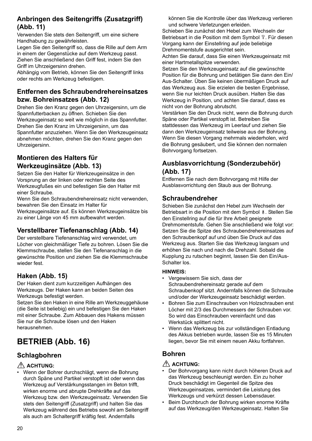### **Anbringen des Seitengriffs (Zusatzgriff) (Abb. 11)**

Verwenden Sie stets den Seitengriff, um eine sichere Handhabung zu gewährleisten.

Legen Sie den Seitengriff so, dass die Rille auf dem Arm in einem der Gegenstücke auf dem Werkzeug passt. Ziehen Sie anschließend den Griff fest, indem Sie den Griff im Uhrzeigersinn drehen.

Abhängig vom Betrieb, können Sie den Seitengriff links oder rechts am Werkzeug befestigem.

### **Entfernen des Schraubendrehereinsatzes bzw. Bohreinsatzes (Abb. 12)**

Drehen Sie den Kranz gegen den Uhrzeigersinn, um die Spannfutterbacken zu öffnen. Schieben Sie den Werkzeugeinsatz so weit wie möglich in das Spannfutter. Drehen Sie den Kranz im Uhrzeigersinn, um das Spannfutter anzuziehen. Wenn Sie den Werkzeugeinsatz abnehmen möchten, drehen Sie den Kranz gegen den Uhrzeigersinn.

### **Montieren des Halters für Werkzeuginsätze (Abb. 13)**

Setzen Sie den Halter für Werkzeugeinsätze in den Vorsprung an der linken oder rechten Seite des Werkzeugfußes ein und befestigen Sie den Halter mit einer Schraube.

Wenn Sie den Schraubendrehereinsatz nicht verwenden, bewahren Sie den Einsatz im Halter für

Werkzeugeinsätze auf. Es können Werkzeugeinsätze bis zu einer Länge von 45 mm aufbewahrt werden.

### **Verstellbarer Tiefenanschlag (Abb. 14)**

Der verstellbare Tiefenanschlag wird verwendet, um Löcher von gleichmäßiger Tiefe zu bohren. Lösen Sie die Klemmschraube, stellen Sie den Tiefenanschlag in die gewünschte Position und ziehen Sie die Klemmschraube wieder fest.

### **Haken (Abb. 15)**

Der Haken dient zum kurzzeitigen Aufhängen des Werkzeugs. Der Haken kann an beiden Seiten des Werkzeugs befestigt werden.

Setzen Sie den Haken in eine Rille am Werkzeuggehäuse (die Seite ist beliebig) ein und befestigen Sie den Haken mit einer Schraube. Zum Abbauen des Hakens müssen Sie nur die Schraube lösen und den Haken herausnehmen.

# **BETRIEB (Abb. 16)**

### **Schlagbohren**

### ACHTUNG:

• Wenn der Bohrer durchschlägt, wenn die Bohrung durch Späne und Partikel verstopft ist oder wenn das Werkzeug auf Verstärkungsstangen im Beton trifft, wirken enorme und abrupte Drehkräfte auf das Werkzeug bzw. den Werkzeugeinsatz. Verwenden Sie stets den Seitengriff (Zusatzgriff) und halten Sie das Werkzeug während des Betriebs sowohl am Seitengriff als auch am Schaltergriff kräftig fest. Andernfalls

können Sie die Kontrolle über das Werkzeug verlieren und schwere Verletzungen erleiden.

Schieben Sie zunächst den Hebel zum Wechseln der Betriebsart in die Position mit dem Symbol  $\mathbb{T}$ . Für diesen Vorgang kann der Einstellring auf jede beliebige Drehmomentstufe ausgerichtet sein.

Achten Sie darauf, dass Sie einen Werkzeugeinsatz mit einer Hartmetallspitze verwenden.

Setzen Sie den Werkzeugeinsatz auf die gewünschte Position für die Bohrung und betätigen Sie dann den Ein/ Aus-Schalter. Üben Sie keinen übermäßigen Druck auf das Werkzeug aus. Sie erzielen die besten Ergebnisse, wenn Sie nur leichten Druck ausüben. Halten Sie das Werkzeug in Position, und achten Sie darauf, dass es nicht von der Bohrung abrutscht.

Verstärken Sie den Druck nicht, wenn die Bohrung durch Späne oder Partikel verstopft ist. Betreiben Sie stattdessen das Werkzeug im Leerlauf und ziehen Sie dann den Werkzeugeinsatz teilweise aus der Bohrung. Wenn Sie diesen Vorgang mehrmals wiederholen, wird die Bohrung gesäubert, und Sie können den normalen Bohrvorgang fortsetzen.

### **Ausblasvorrichtung (Sonderzubehör) (Abb. 17)**

Entfernen Sie nach dem Bohrvorgang mit Hilfe der Ausblasvorrichtung den Staub aus der Bohrung.

### **Schraubendreher**

Schieben Sie zunächst den Hebel zum Wechseln der Betriebsart in die Position mit dem Symbol & Stellen Sie den Einstellring auf die für Ihre Arbeit geeignete Drehmomentstufe. Gehen Sie anschließend wie folgt vor: Setzen Sie die Spitze des Schraubendrehereinsatzes auf den Schraubenkopf auf und üben Sie Druck auf das Werkzeug aus. Starten Sie das Werkzeug langsam und erhöhen Sie nach und nach die Drehzahl. Sobald die Kupplung zu rutschen beginnt, lassen Sie den Ein/Aus-Schalter los.

#### **HINWEIS:**

- Vergewissern Sie sich, dass der Schraubendrehereinsatz gerade auf dem Schraubenkopf sitzt. Andernfalls können die Schraube und/oder der Werkzeugeinsatz beschädigt werden.
- Bohren Sie zum Einschrauben von Holzschrauben erst Löcher mit 2/3 des Durchmessers der Schrauben vor. So wird das Einschrauben vereinfacht und das Werkstück splittert nicht.
- Wenn das Werkzeug bis zur vollständigen Entladung des Akkus betrieben wurde, lassen Sie es 15 Minuten liegen, bevor Sie mit einem neuen Akku fortfahren.

### **Bohren**

### ACHTUNG:

- Der Bohrvorgang kann nicht durch höheren Druck auf das Werkzeug beschleunigt werden. Ein zu hoher Druck beschädigt im Gegenteil die Spitze des Werkzeugeinsatzes, vermindert die Leistung des Werkzeugs und verkürzt dessen Lebensdauer.
- Beim Durchbruch der Bohrung wirken enorme Kräfte auf das Werkzeug/den Werkzeugeinsatz. Halten Sie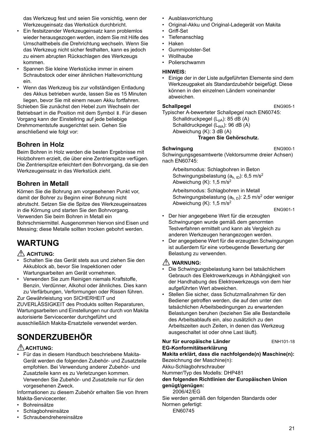das Werkzeug fest und seien Sie vorsichtig, wenn der Werkzeugeinsatz das Werkstück durchbricht.

- Ein festsitzender Werkzeugeinsatz kann problemlos wieder herausgezogen werden, indem Sie mit Hilfe des Umschalthebels die Drehrichtung wechseln. Wenn Sie das Werkzeug nicht sicher festhalten, kann es jedoch zu einem abrupten Rückschlagen des Werkzeugs kommen.
- Spannen Sie kleine Werkstücke immer in einem Schraubstock oder einer ähnlichen Haltevorrichtung ein.
- Wenn das Werkzeug bis zur vollständigen Entladung des Akkus betrieben wurde, lassen Sie es 15 Minuten liegen, bevor Sie mit einem neuen Akku fortfahren.

Schieben Sie zunächst den Hebel zum Wechseln der Betriebsart in die Position mit dem Symbol §. Für diesen Vorgang kann der Einstellring auf jede beliebige Drehmomentstufe ausgerichtet sein. Gehen Sie anschließend wie folgt vor:

### **Bohren in Holz**

Beim Bohren in Holz werden die besten Ergebnisse mit Holzbohrern erzielt, die über eine Zentrierspitze verfügen. Die Zentrierspitze erleichtert den Bohrvorgang, da sie den Werkzeugeinsatz in das Werkstück zieht.

### **Bohren in Metall**

Körnen Sie die Bohrung am vorgesehenen Punkt vor, damit der Bohrer zu Beginn einer Bohrung nicht abrutscht. Setzen Sie die Spitze des Werkzeugeinsatzes in die Körnung und starten Sie den Bohrvorgang. Verwenden Sie beim Bohren in Metall ein Bohrschmiermittel. Ausgenommen hiervon sind Eisen und Messing; diese Metalle sollten trocken gebohrt werden.

# **WARTUNG**

#### **ACHTUNG:**

- Schalten Sie das Gerät stets aus und ziehen Sie den Akkublock ab, bevor Sie Inspektionen oder Wartungsarbeiten am Gerät vornehmen.
- Verwenden Sie zum Reinigen niemals Kraftstoffe. Benzin, Verdünner, Alkohol oder ähnliches. Dies kann zu Verfärbungen, Verformungen oder Rissen führen.

Zur Gewährleistung von SICHERHEIT und ZUVERLÄSSIGKEIT des Produkts sollten Reparaturen, Wartungsarbeiten und Einstellungen nur durch von Makita autorisierte Servicecenter durchgeführt und ausschließlich Makita-Ersatzteile verwendet werden.

# **SONDERZUBEHÖR**

#### **ACHTUNG:**

Für das in diesem Handbuch beschriebene Makita-Gerät werden die folgenden Zubehör- und Zusatzteile empfohlen. Bei Verwendung anderer Zubehör- und Zusatzteile kann es zu Verletzungen kommen. Verwenden Sie Zubehör- und Zusatzteile nur für den vorgesehenen Zweck.

Informationen zu diesem Zubehör erhalten Sie von Ihrem Makita-Servicecenter.

- Bohreinsätze
- Schlagbohreinsätze
- Schraubendrehereinsätze
- Ausblasvorrichtung
- Original-Akku und Original-Ladegerät von Makita
- Griff-Set
- Tiefenanschlag
- ï Haken
- Gummipolster-Set
- Wollhaube
- Polierschwamm

#### **HINWEIS:**

• Einige der in der Liste aufgeführten Elemente sind dem Werkzeugpaket als Standardzubehör beigefügt. Diese können in den einzelnen Ländern voneinander abweichen.

#### **Schallpegel** ENG905-1

Typischer A-bewerteter Schallpegel nach EN60745: Schalldruckpegel  $(L_{pA})$ : 85 dB  $(A)$ Schalldruckpegel (L<sub>WA</sub>): 96 dB (A) Abweichung (K): 3 dB (A) **Tragen Sie Gehörschutz.**

#### **Schwingung** ENG900-1

Schwingungsgesamtwerte (Vektorsumme dreier Achsen) nach EN60745:

Arbeitsmodus: Schlagbohren in Beton Schwingungsbelastung  $(a<sub>h, ID</sub>)$ : 6,5 m/s<sup>2</sup> Abweichung (K): 1,5 m/s<sup>2</sup>

Arbeitsmodus: Schlagbohren in Metall Schwingungsbelastung (a<sub>h, D</sub>): 2,5 m/s<sup>2</sup> oder weniger Abweichung (K): 1,5 m/s<sup>2</sup>

ENG901-1

- Der hier angegebene Wert für die erzeugten Schwingungen wurde gemäß dem genormten Testverfahren ermittelt und kann als Vergleich zu anderen Werkzeugen herangezogen werden.
- Der angegebene Wert für die erzeugten Schwingungen ist außerdem für eine vorbeugende Bewertung der Belastung zu verwenden.

### **WARNUNG:**

- Die Schwingungsbelastung kann bei tatsächlichem Gebrauch des Elektrowerkzeugs in Abhängigkeit von der Handhabung des Elektrowerkzeugs von dem hier aufgeführten Wert abweichen.
- Stellen Sie sicher, dass Schutzmaßnahmen für den Bediener getroffen werden, die auf den unter den tatsächlichen Arbeitsbedingungen zu erwartenden Belastungen beruhen (beziehen Sie alle Bestandteile des Arbeitsablaufs ein, also zusätzlich zu den Arbeitszeiten auch Zeiten, in denen das Werkzeug ausgeschaltet ist oder ohne Last läuft).

**Nur für europäische Länder** ENH101-18 **EG-Konformitätserklärung Makita erklärt, dass die nachfolgende(n) Maschine(n):** Bezeichnung der Maschine(n): Akku-Schlagbohrschrauber

Nummer/Typ des Modells: DHP481

**den folgenden Richtlinien der Europäischen Union genügt/genügen:**

2006/42/EG

Sie werden gemäß den folgenden Standards oder Normen gefertigt: EN60745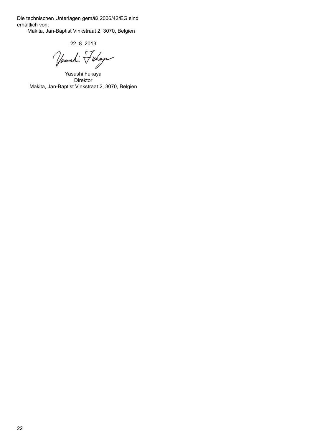Die technischen Unterlagen gemäß 2006/42/EG sind erhältlich von:

Makita, Jan-Baptist Vinkstraat 2, 3070, Belgien

22. 8. 2013<br>Yasushi Fikaga

Yasushi Fukaya Direktor Makita, Jan-Baptist Vinkstraat 2, 3070, Belgien